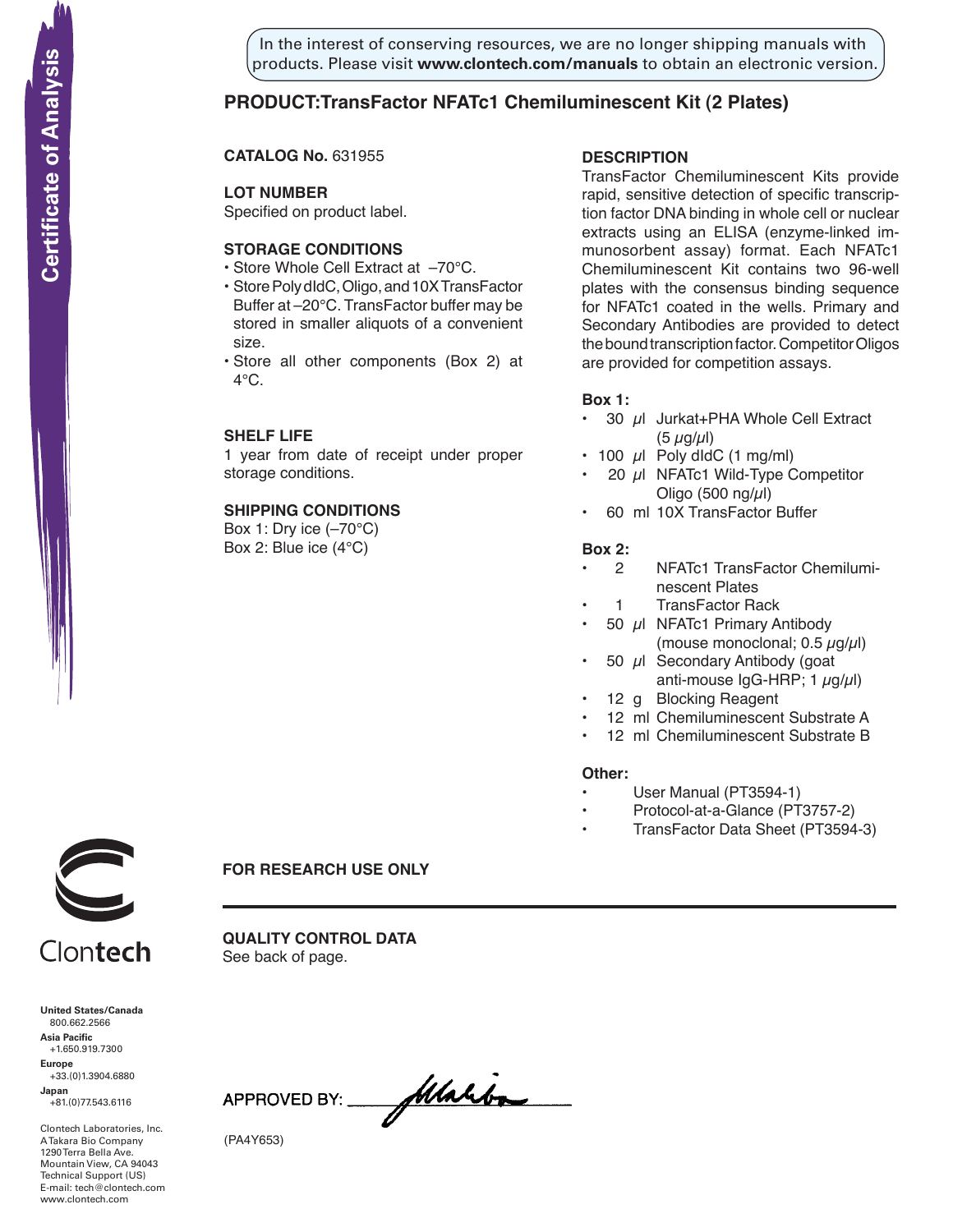In the interest of conserving resources, we are no longer shipping manuals with products. Please visit **www.clontech.com/manuals** to obtain an electronic version.

# **PRODUCT:TransFactor NFATc1 Chemiluminescent Kit (2 Plates)**

**CATALOG No.** 631955

## **LOT NUMBER**

Specified on product label.

# **STORAGE CONDITIONS**

- Store Whole Cell Extract at –70°C.
- Store Poly dIdC, Oligo, and 10X TransFactor Buffer at –20°C. TransFactor buffer may be stored in smaller aliquots of a convenient size.
- Store all other components (Box 2) at  $4^{\circ}$ C.

### **SHELF LIFE**

1 year from date of receipt under proper storage conditions.

#### **SHIPPING CONDITIONS**

Box 1: Dry ice (–70°C) Box 2: Blue ice (4°C)

# **description**

TransFactor Chemiluminescent Kits provide rapid, sensitive detection of specific transcription factor DNA binding in whole cell or nuclear extracts using an ELISA (enzyme-linked immunosorbent assay) format. Each NFATc1 Chemiluminescent Kit contains two 96-well plates with the consensus binding sequence for NFATc1 coated in the wells. Primary and Secondary Antibodies are provided to detect the bound transcription factor. Competitor Oligos are provided for competition assays.

### **Box 1:**

- $\cdot$  30  $\mu$ I Jurkat+PHA Whole Cell Extract  $(5 \mu g/\mu l)$
- $\cdot$  100  $\mu$ I Poly dIdC (1 mg/ml)
- 20  $\mu$ I NFATc1 Wild-Type Competitor Oligo (500 ng/ $\mu$ l)
- 60 ml 10X TransFactor Buffer

#### **Box 2:**

- 2 NFATc1 TransFactor Chemiluminescent Plates
- 1 TransFactor Rack
- 50  $\mu$ I NFATc1 Primary Antibody (mouse monoclonal;  $0.5 \mu g/\mu$ l)
- 50  $\mu$ I Secondary Antibody (goat anti-mouse  $lgG-HRP$ ; 1  $\mu$ g/ $\mu$ l)
- 12 g Blocking Reagent
- 12 ml Chemiluminescent Substrate A
- 12 ml Chemiluminescent Substrate B

#### **Other:**

- User Manual (PT3594-1)
- Protocol-at-a-Glance (PT3757-2)
- TransFactor Data Sheet (PT3594-3)



Clontech

**United States/Canada** 800.662.2566 **Asia Pacific** +1.650.919.7300 **Europe**

+33.(0)1.3904.6880 **Japan** +81.(0)77.543.6116

Clontech Laboratories, Inc. A Takara Bio Company 1290 Terra Bella Ave. Mountain View, CA 94043 Technical Support (US) E-mail: tech@clontech.com<br>www.clontech.com **FOR RESEARCH USE ONLY**

**Quality Control DAta** See back of page.

flaho-APPROVED BY:

(PA4Y653)

**Certificate of Analysis**